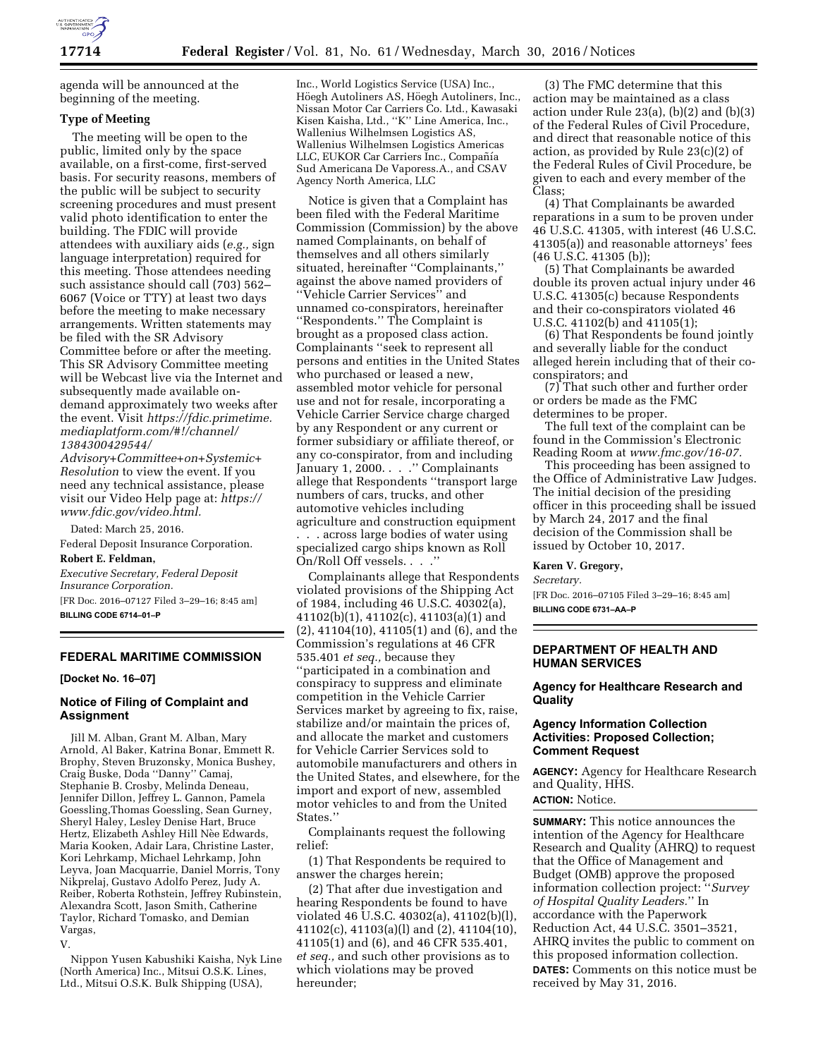

agenda will be announced at the beginning of the meeting.

## **Type of Meeting**

The meeting will be open to the public, limited only by the space available, on a first-come, first-served basis. For security reasons, members of the public will be subject to security screening procedures and must present valid photo identification to enter the building. The FDIC will provide attendees with auxiliary aids (*e.g.,* sign language interpretation) required for this meeting. Those attendees needing such assistance should call (703) 562– 6067 (Voice or TTY) at least two days before the meeting to make necessary arrangements. Written statements may be filed with the SR Advisory Committee before or after the meeting. This SR Advisory Committee meeting will be Webcast live via the Internet and subsequently made available ondemand approximately two weeks after the event. Visit *[https://fdic.primetime.](https://fdic.primetime.mediaplatform.com/#!/channel/1384300429544/Advisory+Committee+on+Systemic+Resolution) [mediaplatform.com/#!/channel/](https://fdic.primetime.mediaplatform.com/#!/channel/1384300429544/Advisory+Committee+on+Systemic+Resolution) [1384300429544/](https://fdic.primetime.mediaplatform.com/#!/channel/1384300429544/Advisory+Committee+on+Systemic+Resolution)* 

*[Advisory+Committee+on+Systemic+](https://fdic.primetime.mediaplatform.com/#!/channel/1384300429544/Advisory+Committee+on+Systemic+Resolution) [Resolution](https://fdic.primetime.mediaplatform.com/#!/channel/1384300429544/Advisory+Committee+on+Systemic+Resolution)* to view the event. If you need any technical assistance, please visit our Video Help page at: *[https://](https://www.fdic.gov/video.html)  [www.fdic.gov/video.html.](https://www.fdic.gov/video.html)* 

Dated: March 25, 2016.

Federal Deposit Insurance Corporation. **Robert E. Feldman,** 

*Executive Secretary, Federal Deposit Insurance Corporation.*  [FR Doc. 2016–07127 Filed 3–29–16; 8:45 am]

**BILLING CODE 6714–01–P** 

# **FEDERAL MARITIME COMMISSION**

**[Docket No. 16–07]** 

## **Notice of Filing of Complaint and Assignment**

Jill M. Alban, Grant M. Alban, Mary Arnold, Al Baker, Katrina Bonar, Emmett R. Brophy, Steven Bruzonsky, Monica Bushey, Craig Buske, Doda ''Danny'' Camaj, Stephanie B. Crosby, Melinda Deneau, Jennifer Dillon, Jeffrey L. Gannon, Pamela Goessling,Thomas Goessling, Sean Gurney, Sheryl Haley, Lesley Denise Hart, Bruce Hertz, Elizabeth Ashley Hill Nèe Edwards, Maria Kooken, Adair Lara, Christine Laster, Kori Lehrkamp, Michael Lehrkamp, John Leyva, Joan Macquarrie, Daniel Morris, Tony Nikprelaj, Gustavo Adolfo Perez, Judy A. Reiber, Roberta Rothstein, Jeffrey Rubinstein, Alexandra Scott, Jason Smith, Catherine Taylor, Richard Tomasko, and Demian Vargas, V.

Nippon Yusen Kabushiki Kaisha, Nyk Line (North America) Inc., Mitsui O.S.K. Lines, Ltd., Mitsui O.S.K. Bulk Shipping (USA),

Inc., World Logistics Service (USA) Inc., Höegh Autoliners AS, Höegh Autoliners, Inc., Nissan Motor Car Carriers Co. Ltd., Kawasaki Kisen Kaisha, Ltd., ''K'' Line America, Inc., Wallenius Wilhelmsen Logistics AS, Wallenius Wilhelmsen Logistics Americas LLC, EUKOR Car Carriers Inc., Compañía Sud Americana De Vaporess.A., and CSAV Agency North America, LLC

Notice is given that a Complaint has been filed with the Federal Maritime Commission (Commission) by the above named Complainants, on behalf of themselves and all others similarly situated, hereinafter ''Complainants,'' against the above named providers of ''Vehicle Carrier Services'' and unnamed co-conspirators, hereinafter ''Respondents.'' The Complaint is brought as a proposed class action. Complainants ''seek to represent all persons and entities in the United States who purchased or leased a new, assembled motor vehicle for personal use and not for resale, incorporating a Vehicle Carrier Service charge charged by any Respondent or any current or former subsidiary or affiliate thereof, or any co-conspirator, from and including January 1, 2000. . . . " Complainants allege that Respondents ''transport large numbers of cars, trucks, and other automotive vehicles including agriculture and construction equipment . . . across large bodies of water using specialized cargo ships known as Roll On/Roll Off vessels. . . .''

Complainants allege that Respondents violated provisions of the Shipping Act of 1984, including 46 U.S.C. 40302(a), 41102(b)(1), 41102(c), 41103(a)(1) and (2), 41104(10), 41105(1) and (6), and the Commission's regulations at 46 CFR 535.401 *et seq.,* because they ''participated in a combination and conspiracy to suppress and eliminate competition in the Vehicle Carrier Services market by agreeing to fix, raise, stabilize and/or maintain the prices of, and allocate the market and customers for Vehicle Carrier Services sold to automobile manufacturers and others in the United States, and elsewhere, for the import and export of new, assembled motor vehicles to and from the United States.''

Complainants request the following relief:

(1) That Respondents be required to answer the charges herein;

(2) That after due investigation and hearing Respondents be found to have violated 46 U.S.C. 40302(a), 41102(b)(l), 41102(c), 41103(a)(l) and (2), 41104(10), 41105(1) and (6), and 46 CFR 535.401, *et seq.,* and such other provisions as to which violations may be proved hereunder;

(3) The FMC determine that this action may be maintained as a class action under Rule 23(a), (b)(2) and (b)(3) of the Federal Rules of Civil Procedure, and direct that reasonable notice of this action, as provided by Rule 23(c)(2) of the Federal Rules of Civil Procedure, be given to each and every member of the Class;

(4) That Complainants be awarded reparations in a sum to be proven under 46 U.S.C. 41305, with interest (46 U.S.C. 41305(a)) and reasonable attorneys' fees (46 U.S.C. 41305 (b));

(5) That Complainants be awarded double its proven actual injury under 46 U.S.C. 41305(c) because Respondents and their co-conspirators violated 46 U.S.C. 41102(b) and 41105(1);

(6) That Respondents be found jointly and severally liable for the conduct alleged herein including that of their coconspirators; and

(7) That such other and further order or orders be made as the FMC determines to be proper.

The full text of the complaint can be found in the Commission's Electronic Reading Room at *[www.fmc.gov/16-07.](http://www.fmc.gov/16-07)* 

This proceeding has been assigned to the Office of Administrative Law Judges. The initial decision of the presiding officer in this proceeding shall be issued by March 24, 2017 and the final decision of the Commission shall be issued by October 10, 2017.

**Karen V. Gregory,** 

*Secretary.* 

[FR Doc. 2016–07105 Filed 3–29–16; 8:45 am]

**BILLING CODE 6731–AA–P** 

# **DEPARTMENT OF HEALTH AND HUMAN SERVICES**

**Agency for Healthcare Research and Quality** 

## **Agency Information Collection Activities: Proposed Collection; Comment Request**

**AGENCY:** Agency for Healthcare Research and Quality, HHS.

**ACTION:** Notice.

**SUMMARY:** This notice announces the intention of the Agency for Healthcare Research and Quality (AHRQ) to request that the Office of Management and Budget (OMB) approve the proposed information collection project: ''*Survey of Hospital Quality Leaders.*'' In accordance with the Paperwork Reduction Act, 44 U.S.C. 3501–3521, AHRQ invites the public to comment on this proposed information collection. **DATES:** Comments on this notice must be received by May 31, 2016.